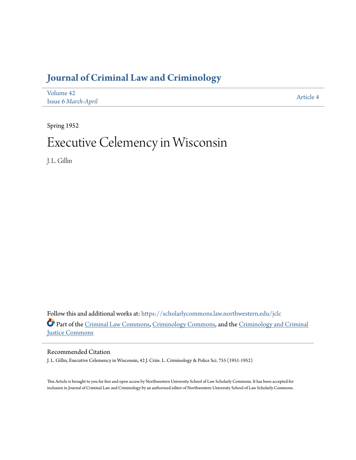# **[Journal of Criminal Law and Criminology](https://scholarlycommons.law.northwestern.edu/jclc?utm_source=scholarlycommons.law.northwestern.edu%2Fjclc%2Fvol42%2Fiss6%2F4&utm_medium=PDF&utm_campaign=PDFCoverPages)**

| Volume 42           | Article 4 |
|---------------------|-----------|
| Issue 6 March-April |           |

Spring 1952

# Executive Celemency in Wisconsin

J. L. Gillin

Follow this and additional works at: [https://scholarlycommons.law.northwestern.edu/jclc](https://scholarlycommons.law.northwestern.edu/jclc?utm_source=scholarlycommons.law.northwestern.edu%2Fjclc%2Fvol42%2Fiss6%2F4&utm_medium=PDF&utm_campaign=PDFCoverPages) Part of the [Criminal Law Commons](http://network.bepress.com/hgg/discipline/912?utm_source=scholarlycommons.law.northwestern.edu%2Fjclc%2Fvol42%2Fiss6%2F4&utm_medium=PDF&utm_campaign=PDFCoverPages), [Criminology Commons](http://network.bepress.com/hgg/discipline/417?utm_source=scholarlycommons.law.northwestern.edu%2Fjclc%2Fvol42%2Fiss6%2F4&utm_medium=PDF&utm_campaign=PDFCoverPages), and the [Criminology and Criminal](http://network.bepress.com/hgg/discipline/367?utm_source=scholarlycommons.law.northwestern.edu%2Fjclc%2Fvol42%2Fiss6%2F4&utm_medium=PDF&utm_campaign=PDFCoverPages) [Justice Commons](http://network.bepress.com/hgg/discipline/367?utm_source=scholarlycommons.law.northwestern.edu%2Fjclc%2Fvol42%2Fiss6%2F4&utm_medium=PDF&utm_campaign=PDFCoverPages)

# Recommended Citation

J. L. Gillin, Executive Celemency in Wisconsin, 42 J. Crim. L. Criminology & Police Sci. 755 (1951-1952)

This Article is brought to you for free and open access by Northwestern University School of Law Scholarly Commons. It has been accepted for inclusion in Journal of Criminal Law and Criminology by an authorized editor of Northwestern University School of Law Scholarly Commons.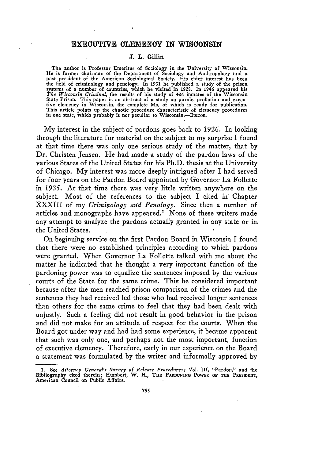#### **EXECUTIVE CLEMENCY IN WISCONSIN**

#### **J. L. Gillin**

The author is Professor Emeritus of Sociology in the University of Wisconsin. He is former chairman of the Department of Sociology and Anthropology and a past president of the American Sociological Society. His chief interest has been the field of criminology and penology. In **1931** he published a study of the prison systems of a number of countries, which he visited in **1928.** In 1946 appeared his *The Wisconsin Criminal,* the results of his study of 486 inmates of the Wisconsin Stat. Prison. This paper is an abstract of a study on parole, probation and executive clemency in Wisconsin, the complete Ms. of which is ready for publication. This article points up the chaotic procedure characteristic of clemency procedures in one state, which probably is not peculiar to Wisconsin.-EDITOR.

My interest in the subject of pardons goes back to **1926.** In looking through the literature for material on the subject to my surprise I found at that time there was only one serious study of the matter, that by Dr. Christen Jensen. He had made a study of the pardon laws of the various States of the United States for his Ph.D. thesis at the University of Chicago. My interest was more deeply intrigued after I had served for four years on the Pardon Board appointed by Governor La Follette in 1935. At that time there was very little written anywhere on the subject. Most of the references to the subject I cited in Chapter XXXIII of my *Criminology* and *Penology.* Since then a number of articles and monographs have appeared.<sup>1</sup> None of these writers made any attempt to analyze the pardons actually granted in any state or in. the United States.

On beginning service on the first Pardon Board in Wisconsin I found that there were no established principles according to which pardons were granted. When Governor La Follette talked with me about the matter he indicated that he thought a very important function of the pardoning power was to equalize the sentences imposed by the various courts of the State for the same crime. This he considered important because after the men reached prison comparison of the crimes and the sentences they had received led those who had received longer sentences than others for the same crime to feel that they had been dealt with unjustly. Such a feeling did not result in good behavior in the prison and did not make for an attitude of respect for the courts. When the Board got under way and had had some experience, it became apparent that such was only one, and perhaps not the most important, function of executive clemency. Therefore, early in our experience on the Board a statement was formulated by the writer and informally approved by

**<sup>1.</sup>** *See Attorney General's Survey of Release Procedures;* Vol. III, "Pardon," and the Bibliography cited therein; Humbert, W. H., THE **PARDONING** POWER **OF THE PRESIDENT,** American Council on Public Affairs.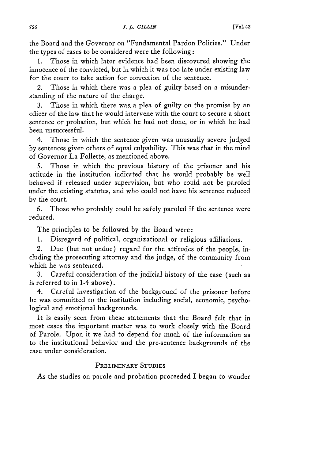the Board and the Governor on "Fundamental Pardon Policies." Under the types of cases to be considered were the following:

1. Those in which later evidence had been discovered showing the innocence of the convicted, but in which it was too late under existing law for the court to take action for correction of the sentence.

2. Those in which there was a plea of guilty based on a misunderstanding of the nature of the charge.

3. Those in which there was. a plea of guilty on the promise by an officer of the law that he would intervene with the court to secure a short sentence or probation, but which he had not done, or in which he had been unsuccessful.

4. Those in which the sentence given was unusually severe judged by sentences given others of equal culpability. This was that in the mind of Governor La Follette, as mentioned above.

*5.* Those in which the previous history of the prisoner and his attitude in the institution indicated that he would probably be well behaved if released under supervision, but who could not be paroled under the existing statutes, and who could not have his sentence reduced by the court.

6. Those who probably could be safely paroled if the sentence were reduced.

The principles to be followed by the Board were:

Disregard of political, organizational or religious affiliations.

2. Due (but not undue) regard for the attitudes of the people, including the prosecuting attorney and the judge, of the community from which he was sentenced.

**3.** Careful consideration of the judicial history of the case (such as is referred to in 1-4 above).

4. Careful investigation of the background of the prisoner before he was committed to the institution including social, economic, psychological and emotional backgrounds.

It is easily seen from these statements that the Board felt that in most cases the important matter was to work closely with the Board of Parole. Upon it we had to depend for much of the information as to the institutional behavior and the pre-sentence backgrounds of the case under consideration.

#### PRELIMINARY STUDIES

As the studies on parole and probation proceeded I began to wonder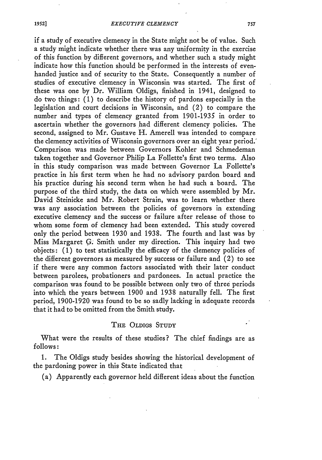#### *EXECUTIVE CLEMENCY*

if a study of executive clemency in the State might not be of value. Such a study might indicate whether there was any uniformity in the exercise of this function **by** different governors, and whether such a study might indicate how this function should be performed in the interests of evenhanded justice and of security to the State. Consequently a number of studies of executive clemency in Wisconsin was started. The first of these was one **by** Dr. William Oldigs, finished in 1941, designed to do two things: (1) to describe the history of pardons especially in the legislation and court decisions in Wisconsin, and (2) to compare the number and types of clemency granted from 1901-1935 in order to ascertain whether the governors had different clemency policies. The second, assigned to Mr. Gustave H. Amerell was intended to compare the clemency activities of Wisconsin governors over an eight year period. Comparison was made between Governors Kohler and Schmedeman taken together and Governor Philip La Follette's first two terms. Also in this study comparison was made between Governor La Follette's practice in his first term when he had no advisory pardon board and his practice during his second term when he had such a board. The purpose of the third study, the data on which were assembled **by** Mr. David Steinicke and Mr. Robert Strain, was to learn whether there was any association between the policies of governors in extending executive clemency and the success or failure after release of those to whom some form of clemency had been extended. This study covered only the period between 1930 and 1938. The fourth and last was **by** Miss Margaret G. Smith under my direction. This inquiry had two objects: (1) to test statistically the efficacy of the clemency policies of the different governors as measured by success or failure and (2) to see if there were any common factors associated with their later conduct between parolees, probationers and pardonees. In actual practice the comparison was found to be possible between only two of three periods into which the years between 1900 and 1938 naturally fell. The first period, 1900-1920 was found to be so sadly lacking in adequate records that it had to be omitted from the Smith study.

# THE OLDIGS STUDY

What were the results of these studies? The chief findings are as follows:

1. The Oldigs study besides showing the historical development of the pardoning power in this State indicated that

(a) Apparently each governor held different ideas about the function

*19521*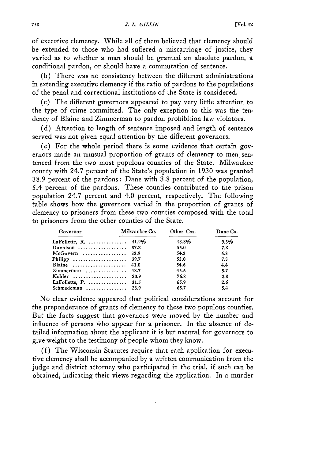of executive clemency. While all of them believed that clemency should be extended to those who had suffered a miscarriage of justice, they varied as to whether a man should be granted an absolute pardon, a conditional pardon, or should have a commutation of sentence.

(b) There was no consistency between the different administrations in extending executive clemency if the ratio of pardons to the populations of the penal and correctional institutions of the State is considered.

(c) The different governors appeared to pay very little attention to the type of crime committed. The only exception to this was the tendency of Blaine and Zimmerman to pardon prohibition law violators.

(d) Attention to length of sentence imposed and length of sentence served was not given equal attention by the different governors.

(e) For the whole period there is some evidence that certain governors made an unusual proportion of grants of clemency to men sentenced from the two most populous counties of the State. Milwaukee county with 24.7 percent of the State's population in 1930 was granted 38.9 percent of the pardons: Dane with 3.8 percent of the population, 5.4 percent of the pardons. These counties contributed to the prison population 24.7 percent and 4.0 percent, respectively. The following table shows how the governors varied in the proportion of grants of clemency to prisoners from these two counties composed with the total to prisoners from the other counties of the State.

| Governor                | Milwaukee Co. | Other Cos. | Dane Co. |
|-------------------------|---------------|------------|----------|
| LaFollette, R. $41.9\%$ |               | 48.8%      | 9.3%     |
| Davidson  37.2          |               | 55.0       | 7.8      |
| $McGovern$ 38.9         |               | 54.8       | 6.3      |
| Philipp  39.7           |               | 53.0       | 7.3      |
| Blaine  41.0            |               | 54.6       | 4.4      |
| $Zimmerman$ 48.7        |               | 45.6       | 5.7      |
| Kohler  20.9            |               | 76.8       | 2.3      |
| LaFollette, P.  31.5    |               | 65.9       | 2.6      |
| Schmedeman  28.9        |               | 65.7       | 5.4      |

No clear evidence appeared that political considerations account for the preponderance of grants of clemency to these two populous counties. But the facts suggest that governors were moved by the number and influence of persons who appear for a prisoner. In the absence of detailed information about the applicant it is but natural for governors to give weight to the testimony of people whom they know.

(f) The Wisconsin Statutes require that each application for executive clemency shall be accompanied by a written communication from the judge and district attorney who participated in the trial, if such can be obtained, indicating their views regarding the application. In a murder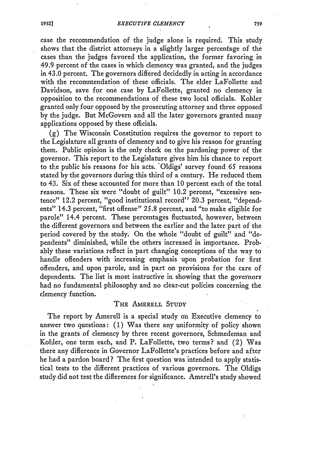case *the* recommendation of the judge alone is required. This study shows that the district attorneys in a slightly larger percenfage of the cases than the judges favored the application, the former favoring in 49.9 percent of the cases in which clemency was granted, and the judges in 43.0 percent. The governors differed decidedly in acting in accordance with the recommendation of these officials. The elder LaFollette and Davidson, save for one case by LaFollette, granted no clemency in opposition to the recommendations of these two local officials. Kohler granted only four opposed by the prosecuting attorney and three opposed by the judge. But McGovern and all the later governors granted many applications opposed by these officials.

(g) The Wisconsin Constitution requires the governor to report to the Legislature all grants of clemency and to give his reason for granting them.. Public opinion is the only check on the pardoning power of the governor. This report to the Legislature gives him his chance to report to the public his reasons for his acts. 'Oldigs' survey found 65 reasons stated by the governors during this third of a century. He reduced them to 43. Six of these accounted for more than **10** percent each of the total reasons. These six were "doubt of guilt" 10.2 percent, "excessive sentence" 12.2 percent, "good institutional record" 20.3 percent, "dependents" 14.3 percent, "first offense" 25.8 percent, and "to make eligible for parole" 14.4 percent. These percentages fluctuated, however, between the different governors and between the earlier and the later part of the period covered by the study. On the whole "doubt of guilt" and "dependents" diminished, while the others increased in importance. Probably these variations reflect in part changing conceptions of the way to handle offenders with increasing emphasis upon probation for first offenders, and upon parole, and in part on provisions for the care of dependents. The list is most instructive in showing that the governors had no fundamental philosophy and no clear-cut policies concerning the clemency function.

## THE AMERELL STUDY

The report by Amerell is a special study on Executive clemency to answer two questions: (1) Was there any uniformity of policy shown in the grants of clemency by three recent governors, Schmedeman and Kohler, one term each, and P. LaFollette, two terms? and (2) Was there any difference in Governor LaFollette's practices before and after he had a pardon board? The first question was intended to apply statistical tests to the different practices of various governors. The Oldigs study did not test the differences for significance. Amerell's study showed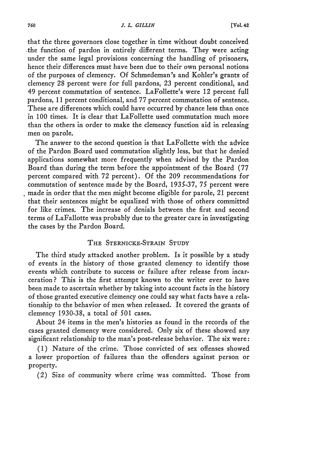that the three governors close together in time without doubt conceived the function of pardon in entirely different terms. They were acting under the same legal provisions concerning the handling of prisoners, hence their differences must have been due to their own personal notions of the purposes of clemency. Of Schmedeman's and Kohler's grants of clemency 28 percent were for full pardons, 23 percent conditional, and 49 percent commutation of sentence. LaFollette's were 12 percent full pardons, 11 percent conditional, and 77 percent commutation of sentence. These are differences which could have occurred by chance less than once in 100 times. It is clear that LaFollette used commutation much more than the others in order to make the clemency function aid in releasing men on parole.

The answer to the second question is that LaFollette with the advice of the Pardon Board used commutation slightly less, but that he denied applications somewhat more frequently when advised by the Pardon Board than during the term before the appointment of the Board (77 percent compared with 72 percent). Of the 209 recommendations for commutation of sentence made by the Board, 1935-37, *75* percent were made in order that the men might become eligible for parole, 21 percent that their sentences might be equalized with those of others committed for like crimes. The increase of denials between the first and second terms of LaFallotte was probably due to the greater care in investigating the cases by the Pardon Board.

## **THE** STERNICKE-STRAIN **STUDY**

The third study attacked another problem. Is it possible by a study of events in the history of those granted clemency to identify those events which contribute to success or failure after release from incarceration? This is the first attempt known to the writer ever to have been made to ascertain whether by taking into account facts in the history of those granted executive clemency one could say what facts have a relationship to the behavior of men when released. It covered the grants of clemency 1930-38, a total of 501 cases.

About 24 items in the men's histories as found in the records of the cases granted clemency were considered. Only six of these showed any significant relationship to the man's post-release behavior. The six were:

**(1)** Nature of the crime. Those convicted of sex offenses showed a lower proportion of failures than the offenders against person or property.

(2) Size of community where crime was committed. Those from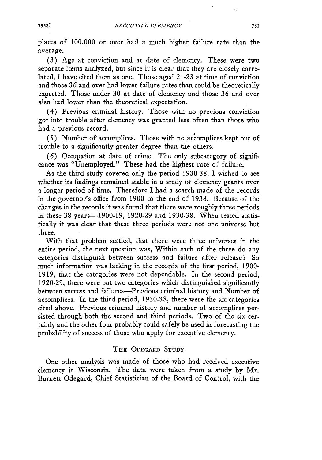places, of 100,000 or over had a much higher failure rate than the average.

(3) Age at conviction and at date of clemency. These were two separate items analyzed, but since it is clear that they are closely correlated, I have cited them as one. Those aged 21-23 at time of conviction and those **36** and over had lower failure rates than could be theoretically expected. Those under 30 at date of clemency and those **36** and over also had lower than the theoretical expectation.

(4) Previous criminal history. Those with no previous conviction got into trouble after clemency was granted less often than those who had a previous record.

(5) Number of' accomplices. Those with no accomplices kept out of trouble to a significantly greater degree than the others.

**(6)** Occupation at date of crime. The only subcategory of significance was "Unemployed." These had the highest rate of failure.

As the third study covered only the period 1930-38, I wished to see whether its findings remained stable in a study of clemency grants over a longer period of time. Therefore I had a search made of the records in the governor's office from 1900 to the end of 1938. Because of the' changes in the records it was found that there were roughly three periods in these 38 years-1900-19, 1920-29 and 1930-38. When tested statistically it was clear that these three periods were not one universe but three.

With that problem settled, that there were three universes in the entire period, the next question was, Within each of the three do any categories distinguish between success and failure after release? So much information was lacking in the records of the first period, 1900- **1919,** that the categories were not dependable. In the second period, 1920-29, there were but two categories which distinguished significantly between success and failures-Previous criminal history and Number of accomplices. In the third period, 1930-38, there were the six categories cited above. Previous criminal history and number of accomplices persisted through both the second and third periods. Two of the six certainly and the 'other four probably could safely be used in forecasting the probability of success of those who apply for executive clemency.

#### THE ODEGARD STUDY

One other analysis was made of those who had received executive clemency in Wisconsin. The data were taken from a study by Mr. Burnett Odegard, Chief Statistician of the Board of Control, with the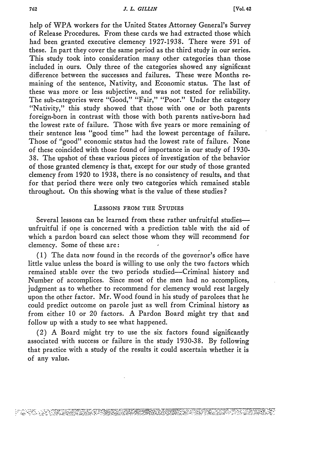help of WPA workers for the United States Attorney General's Survey of Release Procedures. From these cards we had extracted those which had been granted executive clemency 1927-1938. There were *591* of these. In part they cover the same period as the third study in our series. This study took into consideration many other categories than those included in ours. Only three of the categories showed any significant difference between the successes and failures. These were Months remaining of the sentence, Nativity, and Economic status. The last of these was more or less subjective, and was not tested for reliability. The sub-categories were "Good," "Fair," "Poor." Under the category "Nativity," this study showed that those with one or both parents foreign-born in contrast with those with both parents native-born had the lowest rate of failure. Those with five years. or more remaining of their sentence less "good time" had the lowest percentage of failure. Those of "good" economic status had the lowest rate of failure. None of these coincided with those found of importance in our study of 1930- 38. The upshot of these various pieces of investigation of the behavior of those granted clemency is that, except for our study of those granted clemency from 1920 to 1938, there is no consistency of results, and that for that period there were only two categories which remained stable throughout. On this showing what is the value of these studies?

# **LESSONS FROM** THE STUDIES

Several lessons can be learned from these rather unfruitful studiesunfruitful if one is concerned with a prediction table with the aid of which a pardon board can select those whom they will recommend for clemency. Some of these are:

(1) The data now found in the records of the governor's office have little value unless the board is willing to use only the two factors which remained stable over the two periods studied--Criminal history and Number of accomplices. Since most of the men had no accomplices, judgment as to whether to recommend for clemency would rest largely upon the other factor. Mr. Wood found in his study of parolees that he could predict outcome on parole just as well from Criminal history as from either 10 or 20 factors. A Pardon Board might try that and follow up with a study to see what happened.

(2) A Board might try to use the six factors found significantly associated with success or failure in the study 1930-38. By following that practice with a study of the results it could ascertain whether it is of any value.

IS ANNES DE SANTO PROPERTY DE L'ARCHITECT DE L'ARCHITECT DE L'ARCHITECT DE L'ARCHITECT DE L'ARCHITECT DE L'ARC<br>SANTO L'ARCHITECT DE L'ARCHITECT DE L'ARCHITECT DE L'ARCHITECT DE L'ARCHITECT DE L'ARCHITECT DE L'ARCHITECT DE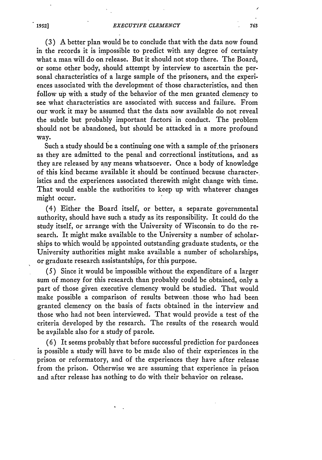#### **1952]** *EXECUTIVE CLEMENCY* **763**

(3) A better plan would be to conclude that with the data now found in the records it is impossible to predict with any degree of certainty what a. man will do on release. But it should not stop there. The Board, or some other body, should attempt by interview to ascertain the personal characteristics of a large sample of the prisoners, and the experiences associated with the development of those characteristics, and then follow up with a study of the behavior of the men granted clemency to see what characteristics are associated with success and failure. From our work it may be assumed that the data now available do not reveal the subtle but probably important factors in conduct. The problem should not be abandoned, but should be attacked in a more profound way.

Such a study should be a continuing one with a sample of the prisoners as they are admitted to the penal and correctional institutions, and as they are released **by** any means whatsoever. Once a body of knowledge of this kind became available it should be continued because characteristics and the experiences associated therewith might change with time. That would enable the authorities to keep up with whatever changes might occur.

(4) Either the Board itself, or better, a separate governmental authority, should have such a study as its responsibility. It could do the study itself, or arrange with the University of Wisconsin to do the research. It might make available to the University a number of scholarships to which would be appointed outstanding graduate students, or the University authorities might make available a number of scholarships, or graduate research assistantships, for this purpose.

(5) Since it would be impossible without the expenditure of a larger sum of money for this research than probably could be obtained, only a part of those given executive clemency would be studied. That would make possible a comparison of results between. those who had been granted clemency on the basis of facts obtained in the interview and those who had not been interviewed. That would provide a test of the criteria developed **by** the research. The results of the research would be available also for a study of parole.

(6) It seems probably that before successful prediction for pardonees is possible a study will have to be made also of their experiences in the prison or reformatory, and of the experiences they have after release from the prison. Otherwise we are assuming that experience in prison and after release has nothing to do with their behavior on release.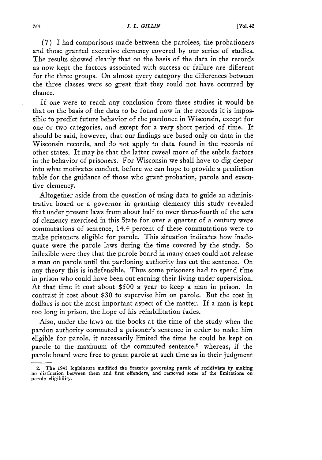(7) I had comparisons made between the parolees, the probationers and those granted executive clemency covered by our series of studies. The results showed clearly that on the basis of the data in the records as now kept the factors associated with success or failure are different for the three groups. On almost every category the differences between the three classes were so great that they could not have occurred by chance.

If one were to reach any conclusion from these studies it would be that on the basis of the data to be found now in the records it is impossible to predict future behavior of the pardonee in Wisconsin, except for one or two categories, and except for a very short period of time. It should be said, however, that our findings are based only on data in the Wisconsin records, and do not apply to data found in the records of other states. It may be that the latter reveal more of the subtle factors in the behavior of prisoners. For Wisconsin we shall have to dig deeper into what motivates conduct, before we can hope to provide a prediction table for the guidance of those who grant probation, parole and executive clemency.

Altogether aside from the question of using data to guide an administrative board or a governor in granting clemency this study revealed that under present laws from about half to over three-fourth of the acts of clemency exercised in this State for over a quarter of a century were commutations of sentence, 14.4 percent of these commutations were to make prisoners eligible for parole. This situation indicates how inadequate were the parole laws during the time covered by the study. So inflexible were they that the parole board in many cases could not release a man on parole until the pardoning authority has cut the sentence. On any theory this is indefensible. Thus some prisoners had to spend time in prison who could have been out earning their living under supervision. At that time it cost about \$500 a year to keep a man in prison. In contrast it cost about \$30 to supervise him on parole. But the cost in dollars is not the most important aspect of the matter. If a man is kept too long in prison, the hope of his rehabilitation fades.

Also, under the laws on the books at the time of the study when the pardon authority commuted a prisoner's sentence in order to make him eligible for parole, it necessarily limited the time he could be kept on parole to the maximum of the commuted sentence.<sup>2</sup> whereas, if the parole board were free to grant parole at such time as in their judgment

**<sup>2.</sup>** The 1943 legislature modified **the** Statutes governing parole of **recidivists by** making no distinction between them and first Gffenders, and removed some of **the** limitations on **parole** eligibility.